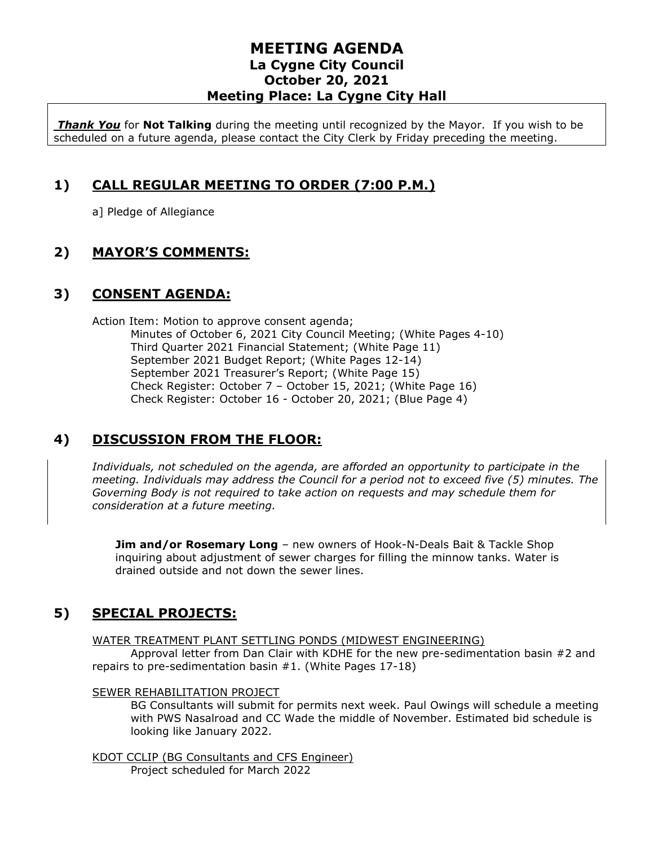# **MEETING AGENDA La Cygne City Council October 20, 2021 Meeting Place: La Cygne City Hall**

*Thank You* for **Not Talking** during the meeting until recognized by the Mayor. If you wish to be scheduled on a future agenda, please contact the City Clerk by Friday preceding the meeting.

# **1) CALL REGULAR MEETING TO ORDER (7:00 P.M.)**

a] Pledge of Allegiance

# **2) MAYOR'S COMMENTS:**

# **3) CONSENT AGENDA:**

Action Item: Motion to approve consent agenda; Minutes of October 6, 2021 City Council Meeting; (White Pages 4-10) Third Quarter 2021 Financial Statement; (White Page 11) September 2021 Budget Report; (White Pages 12-14) September 2021 Treasurer's Report; (White Page 15) Check Register: October 7 – October 15, 2021; (White Page 16) Check Register: October 16 - October 20, 2021; (Blue Page 4)

# **4) DISCUSSION FROM THE FLOOR:**

*Individuals, not scheduled on the agenda, are afforded an opportunity to participate in the meeting. Individuals may address the Council for a period not to exceed five (5) minutes. The Governing Body is not required to take action on requests and may schedule them for consideration at a future meeting.* 

**Jim and/or Rosemary Long** – new owners of Hook-N-Deals Bait & Tackle Shop inquiring about adjustment of sewer charges for filling the minnow tanks. Water is drained outside and not down the sewer lines.

# **5) SPECIAL PROJECTS:**

WATER TREATMENT PLANT SETTLING PONDS (MIDWEST ENGINEERING)

Approval letter from Dan Clair with KDHE for the new pre-sedimentation basin #2 and repairs to pre-sedimentation basin #1. (White Pages 17-18)

#### SEWER REHABILITATION PROJECT

BG Consultants will submit for permits next week. Paul Owings will schedule a meeting with PWS Nasalroad and CC Wade the middle of November. Estimated bid schedule is looking like January 2022.

KDOT CCLIP (BG Consultants and CFS Engineer) Project scheduled for March 2022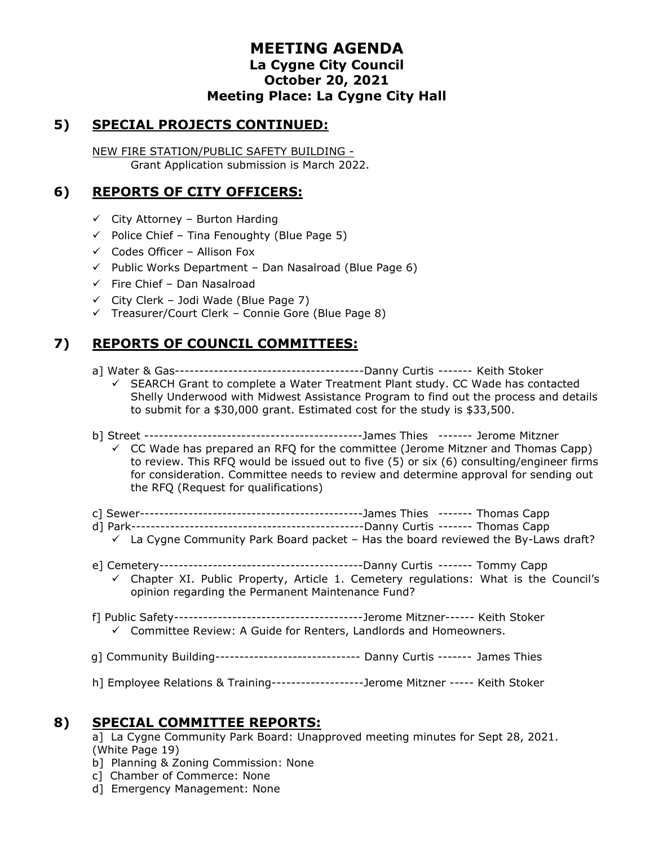# **MEETING AGENDA La Cygne City Council October 20, 2021 Meeting Place: La Cygne City Hall**

# **5) SPECIAL PROJECTS CONTINUED:**

NEW FIRE STATION/PUBLIC SAFETY BUILDING - Grant Application submission is March 2022.

# **6) REPORTS OF CITY OFFICERS:**

- $\checkmark$  City Attorney Burton Harding
- $\checkmark$  Police Chief Tina Fenoughty (Blue Page 5)
- $\checkmark$  Codes Officer Allison Fox
- ✓ Public Works Department Dan Nasalroad (Blue Page 6)
- $\checkmark$  Fire Chief Dan Nasalroad
- $\checkmark$  City Clerk Jodi Wade (Blue Page 7)
- ✓ Treasurer/Court Clerk Connie Gore (Blue Page 8)

# **7) REPORTS OF COUNCIL COMMITTEES:**

- a] Water & Gas---------------------------------------Danny Curtis ------- Keith Stoker
	- ✓ SEARCH Grant to complete a Water Treatment Plant study. CC Wade has contacted Shelly Underwood with Midwest Assistance Program to find out the process and details to submit for a \$30,000 grant. Estimated cost for the study is \$33,500.
- b] Street ---------------------------------------------James Thies ------- Jerome Mitzner
	- $\checkmark$  CC Wade has prepared an RFQ for the committee (Jerome Mitzner and Thomas Capp) to review. This RFQ would be issued out to five (5) or six (6) consulting/engineer firms for consideration. Committee needs to review and determine approval for sending out the RFQ (Request for qualifications)
- c] Sewer----------------------------------------------James Thies ------- Thomas Capp
- d] Park------------------------------------------------Danny Curtis ------- Thomas Capp
- $\checkmark$  La Cygne Community Park Board packet Has the board reviewed the By-Laws draft?
- e] Cemetery------------------------------------------Danny Curtis ------- Tommy Capp  $\checkmark$  Chapter XI. Public Property, Article 1. Cemetery regulations: What is the Council's opinion regarding the Permanent Maintenance Fund?
- f] Public Safety---------------------------------------Jerome Mitzner------ Keith Stoker ✓ Committee Review: A Guide for Renters, Landlords and Homeowners.
- g] Community Building------------------------------ Danny Curtis ------- James Thies
- h] Employee Relations & Training-------------------Jerome Mitzner ----- Keith Stoker

#### **8) SPECIAL COMMITTEE REPORTS:**

a] La Cygne Community Park Board: Unapproved meeting minutes for Sept 28, 2021. (White Page 19)

- b] Planning & Zoning Commission: None
- c] Chamber of Commerce: None
- d] Emergency Management: None